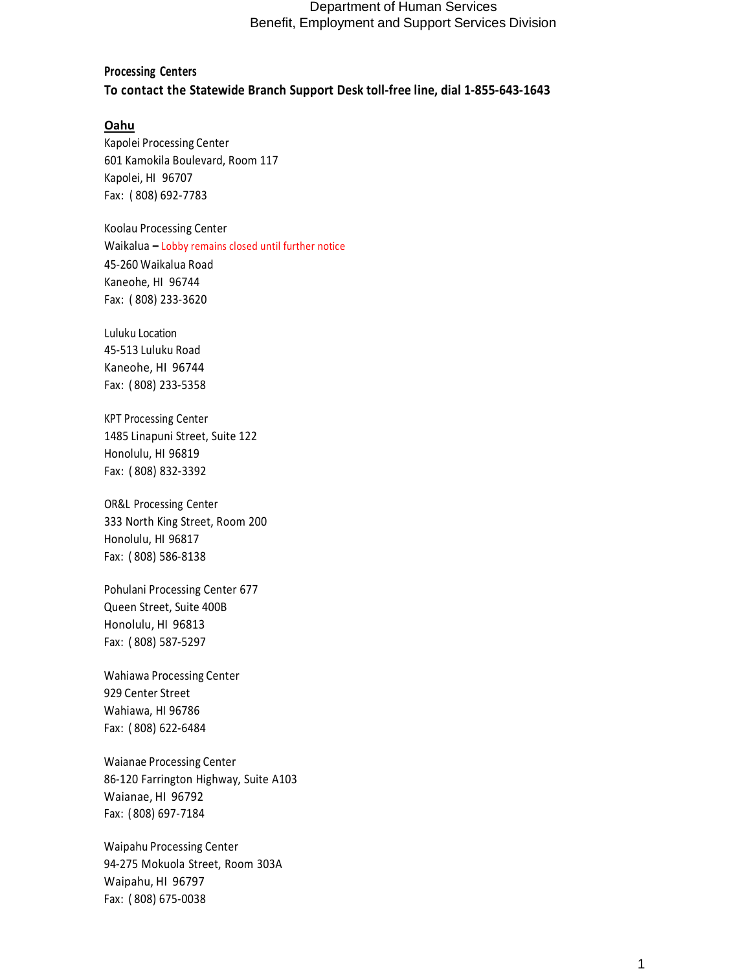# **Processing Centers To contact the Statewide Branch Support Desk toll-free line, dial 1-855-643-1643**

#### **Oahu**

Kapolei Processing Center 601 Kamokila Boulevard, Room 117 Kapolei, HI 96707 Fax: ( 808) 692-7783

Koolau Processing Center Waikalua **–** Lobby remains closed until further notice 45-260 Waikalua Road Kaneohe, HI 96744 Fax: ( 808) 233-3620

Luluku Location 45-513 Luluku Road Kaneohe, HI 96744 Fax: ( 808) 233-5358

KPT Processing Center 1485 Linapuni Street, Suite 122 Honolulu, HI 96819 Fax: ( 808) 832-3392

OR&L Processing Center 333 North King Street, Room 200 Honolulu, HI 96817 Fax: ( 808) 586-8138

Pohulani Processing Center 677 Queen Street, Suite 400B Honolulu, HI 96813 Fax: ( 808) 587-5297

Wahiawa Processing Center 929 Center Street Wahiawa, HI 96786 Fax: ( 808) 622-6484

Waianae Processing Center 86-120 Farrington Highway, Suite A103 Waianae, HI 96792 Fax: ( 808) 697-7184

Waipahu Processing Center 94-275 Mokuola Street, Room 303A Waipahu, HI 96797 Fax: ( 808) 675-0038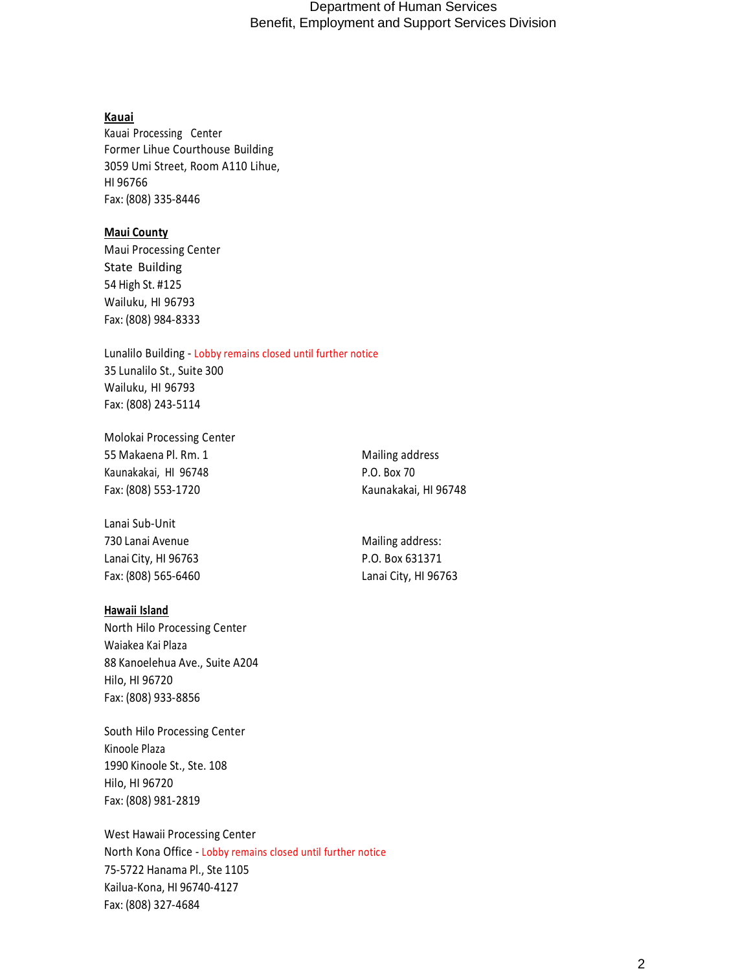#### **Kauai**

Kauai Processing Center Former Lihue Courthouse Building 3059 Umi Street, Room A110 Lihue, HI 96766 Fax: (808) 335-8446

### **Maui County**

Maui Processing Center State Building 54 High St. #125 Wailuku, HI 96793 Fax: (808) 984-8333

Lunalilo Building - Lobby remains closed until further notice 35 Lunalilo St., Suite 300 Wailuku, HI 96793 Fax: (808) 243-5114

Molokai Processing Center 55 Makaena Pl. Rm. 1 Mailing address Kaunakakai, HI 96748 P.O. Box 70 Fax: (808) 553-1720 Kaunakakai, HI 96748

Lanai Sub-Unit 730 Lanai Avenue **Mailing address:** Mailing address: Lanai City, HI 96763 **P.O. Box 631371** Fax: (808) 565-6460 Lanai City, HI 96763

#### **Hawaii Island**

North Hilo Processing Center Waiakea Kai Plaza 88 Kanoelehua Ave., Suite A204 Hilo, HI 96720 Fax: (808) 933-8856

South Hilo Processing Center Kinoole Plaza 1990 Kinoole St., Ste. 108 Hilo, HI 96720 Fax: (808) 981-2819

West Hawaii Processing Center North Kona Office - Lobby remains closed until further notice 75-5722 Hanama Pl., Ste 1105 Kailua-Kona, HI 96740-4127 Fax: (808) 327-4684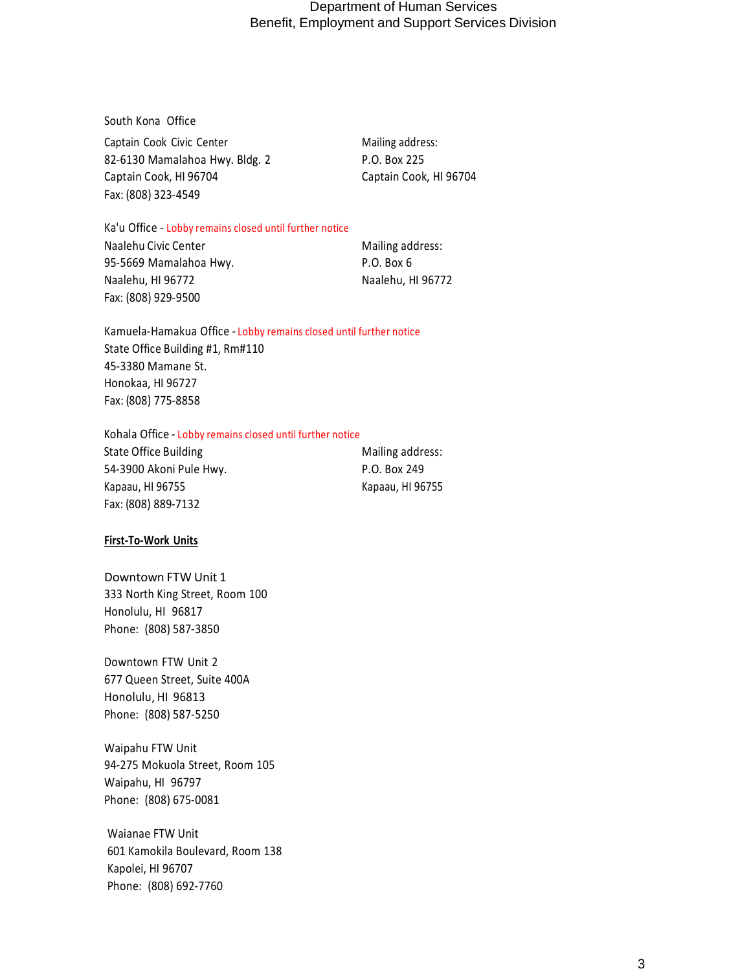South Kona Office Captain Cook Civic Center Mailing address: 82-6130 Mamalahoa Hwy. Bldg. 2 P.O. Box 225 Captain Cook, HI 96704 Captain Cook, HI 96704 Fax: (808) 323-4549

Ka'u Office - Lobby remains closed until further notice

Naalehu Civic Center Mailing address: 95-5669 Mamalahoa Hwy. P.O. Box 6 Naalehu, HI 96772 Naalehu, HI 96772 Fax: (808) 929-9500

Kamuela-Hamakua Office - Lobby remains closed until further notice State Office Building #1, Rm#110 45-3380 Mamane St. Honokaa, HI 96727 Fax: (808) 775-8858

Kohala Office - Lobby remains closed until further notice

State Office Building Mailing address: 54-3900 Akoni Pule Hwy. P.O. Box 249 Kapaau, HI 96755 Kapaau, HI 96755 Fax: (808) 889-7132

### **First-To-Work Units**

Downtown FTW Unit 1 333 North King Street, Room 100 Honolulu, HI 96817 Phone: (808) 587-3850

Downtown FTW Unit 2 677 Queen Street, Suite 400A Honolulu, HI 96813 Phone: (808) 587-5250

Waipahu FTW Unit 94-275 Mokuola Street, Room 105 Waipahu, HI 96797 Phone: (808) 675-0081

Waianae FTW Unit 601 Kamokila Boulevard, Room 138 Kapolei, HI 96707 Phone: (808) 692-7760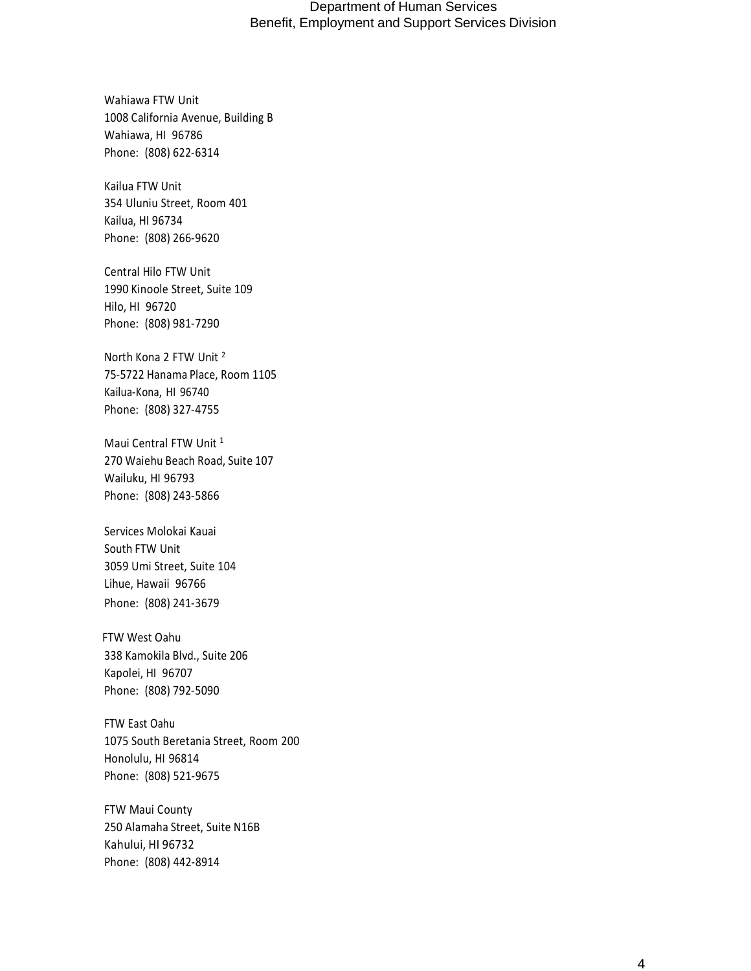Wahiawa FTW Unit 1008 California Avenue, Building B Wahiawa, HI 96786 Phone: (808) 622-6314

Kailua FTW Unit 354 Uluniu Street, Room 401 Kailua, HI 96734 Phone: (808) 266-9620

Central Hilo FTW Unit 1990 Kinoole Street, Suite 109 Hilo, HI 96720 Phone: (808) 981-7290

North Kona 2 FTW Unit <sup>2</sup> 75-5722 Hanama Place, Room 1105 Kailua-Kona, HI 96740 Phone: (808) 327-4755

Maui Central FTW Unit<sup>1</sup> 270 Waiehu Beach Road, Suite 107 Wailuku, HI 96793 Phone: (808) 243-5866

Services Molokai Kauai South FTW Unit 3059 Umi Street, Suite 104 Lihue, Hawaii 96766 Phone: (808) 241-3679

 FTW West Oahu 338 Kamokila Blvd., Suite 206 Kapolei, HI 96707 Phone: (808) 792-5090

FTW East Oahu 1075 South Beretania Street, Room 200 Honolulu, HI 96814 Phone: (808) 521-9675

FTW Maui County 250 Alamaha Street, Suite N16B Kahului, HI 96732 Phone: (808) 442-8914